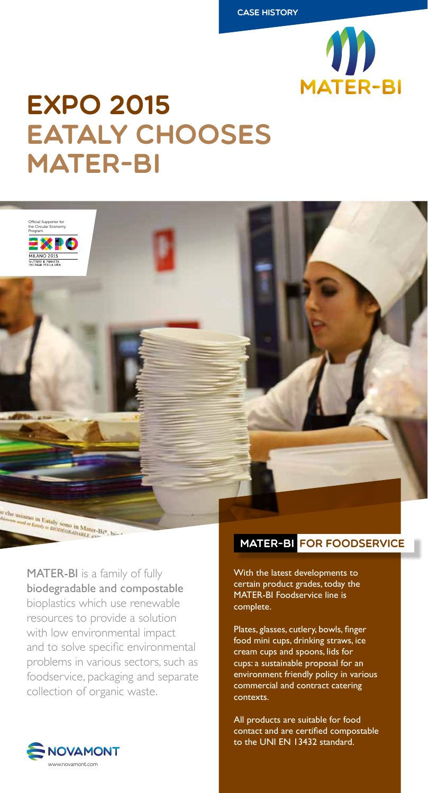

## EXPO 2015 Eataly chooses **MATER-BI**



MATER-BI is a family of fully biodegradable and compostable bioplastics which use renewable resources to provide a solution with low environmental impact and to solve specific environmental problems in various sectors, such as foodservice, packaging and separate collection of organic waste.



With the latest developments to certain product grades, today the MATER-BI Foodservice line is complete.

Plates, glasses, cutlery, bowls, finger food mini cups, drinking straws, ice cream cups and spoons, lids for cups: a sustainable proposal for an environment friendly policy in various commercial and contract catering contexts.

All products are suitable for food contact and are certified compostable to the UNI EN 13432 standard.